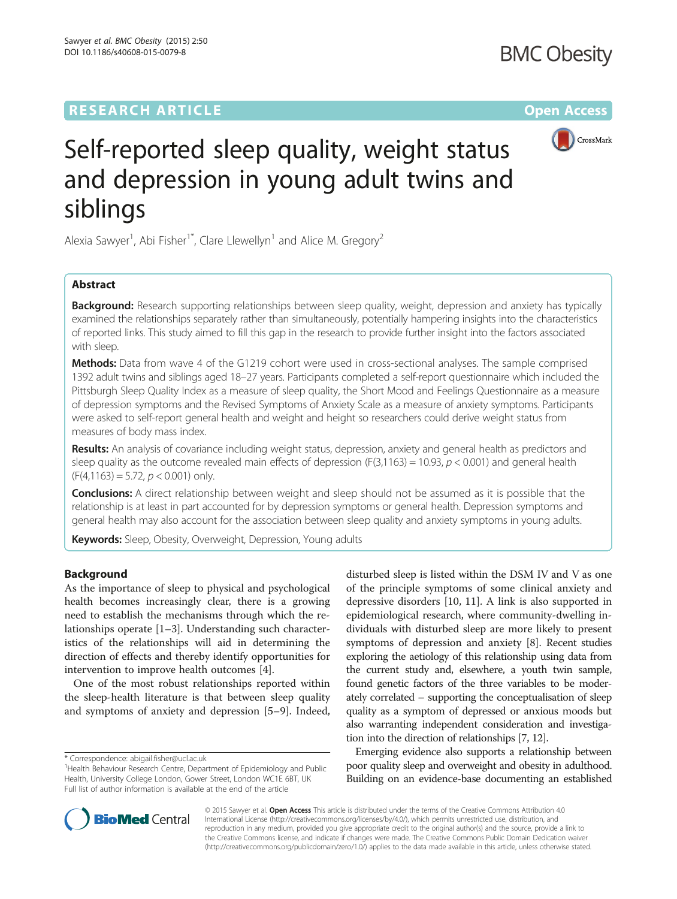# **RESEARCH ARTICLE External Structure Community Community Community Community Community Community Community Community**



# Self-reported sleep quality, weight status and depression in young adult twins and siblings

Alexia Sawyer<sup>1</sup>, Abi Fisher<sup>1\*</sup>, Clare Llewellyn<sup>1</sup> and Alice M. Gregory<sup>2</sup>

# Abstract

**Background:** Research supporting relationships between sleep quality, weight, depression and anxiety has typically examined the relationships separately rather than simultaneously, potentially hampering insights into the characteristics of reported links. This study aimed to fill this gap in the research to provide further insight into the factors associated with sleep.

Methods: Data from wave 4 of the G1219 cohort were used in cross-sectional analyses. The sample comprised 1392 adult twins and siblings aged 18–27 years. Participants completed a self-report questionnaire which included the Pittsburgh Sleep Quality Index as a measure of sleep quality, the Short Mood and Feelings Questionnaire as a measure of depression symptoms and the Revised Symptoms of Anxiety Scale as a measure of anxiety symptoms. Participants were asked to self-report general health and weight and height so researchers could derive weight status from measures of body mass index.

Results: An analysis of covariance including weight status, depression, anxiety and general health as predictors and sleep quality as the outcome revealed main effects of depression (F(3,1163) = 10.93,  $p < 0.001$ ) and general health  $(F(4, 1163) = 5.72, p < 0.001)$  only.

**Conclusions:** A direct relationship between weight and sleep should not be assumed as it is possible that the relationship is at least in part accounted for by depression symptoms or general health. Depression symptoms and general health may also account for the association between sleep quality and anxiety symptoms in young adults.

Keywords: Sleep, Obesity, Overweight, Depression, Young adults

# Background

As the importance of sleep to physical and psychological health becomes increasingly clear, there is a growing need to establish the mechanisms through which the relationships operate [\[1](#page-5-0)–[3\]](#page-5-0). Understanding such characteristics of the relationships will aid in determining the direction of effects and thereby identify opportunities for intervention to improve health outcomes [\[4](#page-5-0)].

One of the most robust relationships reported within the sleep-health literature is that between sleep quality and symptoms of anxiety and depression [[5](#page-5-0)–[9](#page-5-0)]. Indeed,

disturbed sleep is listed within the DSM IV and V as one of the principle symptoms of some clinical anxiety and depressive disorders [\[10, 11](#page-5-0)]. A link is also supported in epidemiological research, where community-dwelling individuals with disturbed sleep are more likely to present symptoms of depression and anxiety [\[8](#page-5-0)]. Recent studies exploring the aetiology of this relationship using data from the current study and, elsewhere, a youth twin sample, found genetic factors of the three variables to be moderately correlated – supporting the conceptualisation of sleep quality as a symptom of depressed or anxious moods but also warranting independent consideration and investigation into the direction of relationships [\[7, 12\]](#page-5-0).

Emerging evidence also supports a relationship between poor quality sleep and overweight and obesity in adulthood. Building on an evidence-base documenting an established



© 2015 Sawyer et al. Open Access This article is distributed under the terms of the Creative Commons Attribution 4.0 International License [\(http://creativecommons.org/licenses/by/4.0/](http://creativecommons.org/licenses/by/4.0/)), which permits unrestricted use, distribution, and reproduction in any medium, provided you give appropriate credit to the original author(s) and the source, provide a link to the Creative Commons license, and indicate if changes were made. The Creative Commons Public Domain Dedication waiver [\(http://creativecommons.org/publicdomain/zero/1.0/](http://creativecommons.org/publicdomain/zero/1.0/)) applies to the data made available in this article, unless otherwise stated.

<sup>\*</sup> Correspondence: [abigail.fisher@ucl.ac.uk](mailto:abigail.fisher@ucl.ac.uk) <sup>1</sup>

<sup>&</sup>lt;sup>1</sup> Health Behaviour Research Centre, Department of Epidemiology and Public Health, University College London, Gower Street, London WC1E 6BT, UK Full list of author information is available at the end of the article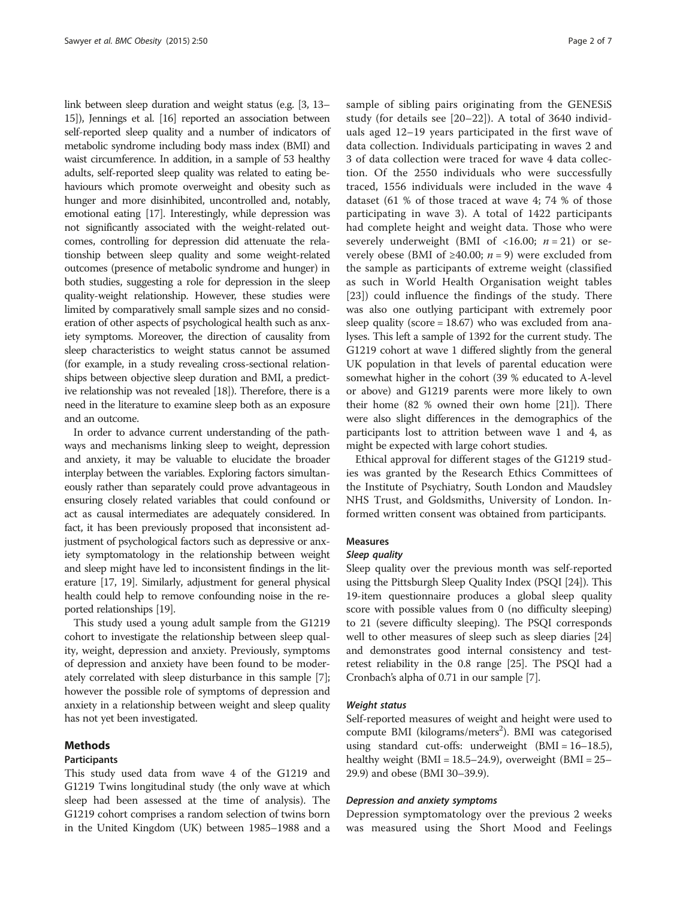link between sleep duration and weight status (e.g. [\[3, 13](#page-5-0)– [15](#page-5-0)]), Jennings et al. [\[16](#page-5-0)] reported an association between self-reported sleep quality and a number of indicators of metabolic syndrome including body mass index (BMI) and waist circumference. In addition, in a sample of 53 healthy adults, self-reported sleep quality was related to eating behaviours which promote overweight and obesity such as hunger and more disinhibited, uncontrolled and, notably, emotional eating [\[17\]](#page-5-0). Interestingly, while depression was not significantly associated with the weight-related outcomes, controlling for depression did attenuate the relationship between sleep quality and some weight-related outcomes (presence of metabolic syndrome and hunger) in both studies, suggesting a role for depression in the sleep quality-weight relationship. However, these studies were limited by comparatively small sample sizes and no consideration of other aspects of psychological health such as anxiety symptoms. Moreover, the direction of causality from sleep characteristics to weight status cannot be assumed (for example, in a study revealing cross-sectional relationships between objective sleep duration and BMI, a predictive relationship was not revealed [[18](#page-5-0)]). Therefore, there is a need in the literature to examine sleep both as an exposure and an outcome.

In order to advance current understanding of the pathways and mechanisms linking sleep to weight, depression and anxiety, it may be valuable to elucidate the broader interplay between the variables. Exploring factors simultaneously rather than separately could prove advantageous in ensuring closely related variables that could confound or act as causal intermediates are adequately considered. In fact, it has been previously proposed that inconsistent adjustment of psychological factors such as depressive or anxiety symptomatology in the relationship between weight and sleep might have led to inconsistent findings in the literature [\[17, 19\]](#page-5-0). Similarly, adjustment for general physical health could help to remove confounding noise in the reported relationships [\[19\]](#page-5-0).

This study used a young adult sample from the G1219 cohort to investigate the relationship between sleep quality, weight, depression and anxiety. Previously, symptoms of depression and anxiety have been found to be moderately correlated with sleep disturbance in this sample [[7](#page-5-0)]; however the possible role of symptoms of depression and anxiety in a relationship between weight and sleep quality has not yet been investigated.

### Methods

#### Participants

This study used data from wave 4 of the G1219 and G1219 Twins longitudinal study (the only wave at which sleep had been assessed at the time of analysis). The G1219 cohort comprises a random selection of twins born in the United Kingdom (UK) between 1985–1988 and a sample of sibling pairs originating from the GENESiS study (for details see [[20](#page-5-0)–[22](#page-5-0)]). A total of 3640 individuals aged 12–19 years participated in the first wave of data collection. Individuals participating in waves 2 and 3 of data collection were traced for wave 4 data collection. Of the 2550 individuals who were successfully traced, 1556 individuals were included in the wave 4 dataset (61 % of those traced at wave 4; 74 % of those participating in wave 3). A total of 1422 participants had complete height and weight data. Those who were severely underweight (BMI of <16.00;  $n = 21$ ) or severely obese (BMI of  $\geq$ 40.00; *n* = 9) were excluded from the sample as participants of extreme weight (classified as such in World Health Organisation weight tables [[23\]](#page-5-0)) could influence the findings of the study. There was also one outlying participant with extremely poor sleep quality (score = 18.67) who was excluded from analyses. This left a sample of 1392 for the current study. The G1219 cohort at wave 1 differed slightly from the general UK population in that levels of parental education were somewhat higher in the cohort (39 % educated to A-level or above) and G1219 parents were more likely to own their home (82 % owned their own home [\[21\]](#page-5-0)). There were also slight differences in the demographics of the participants lost to attrition between wave 1 and 4, as might be expected with large cohort studies.

Ethical approval for different stages of the G1219 studies was granted by the Research Ethics Committees of the Institute of Psychiatry, South London and Maudsley NHS Trust, and Goldsmiths, University of London. Informed written consent was obtained from participants.

### Measures

#### Sleep quality

Sleep quality over the previous month was self-reported using the Pittsburgh Sleep Quality Index (PSQI [\[24\]](#page-6-0)). This 19-item questionnaire produces a global sleep quality score with possible values from 0 (no difficulty sleeping) to 21 (severe difficulty sleeping). The PSQI corresponds well to other measures of sleep such as sleep diaries [[24](#page-6-0)] and demonstrates good internal consistency and testretest reliability in the 0.8 range [\[25\]](#page-6-0). The PSQI had a Cronbach's alpha of 0.71 in our sample [[7](#page-5-0)].

#### Weight status

Self-reported measures of weight and height were used to compute BMI (kilograms/meters<sup>2</sup>). BMI was categorised using standard cut-offs: underweight (BMI = 16–18.5), healthy weight (BMI = 18.5–24.9), overweight (BMI = 25– 29.9) and obese (BMI 30–39.9).

#### Depression and anxiety symptoms

Depression symptomatology over the previous 2 weeks was measured using the Short Mood and Feelings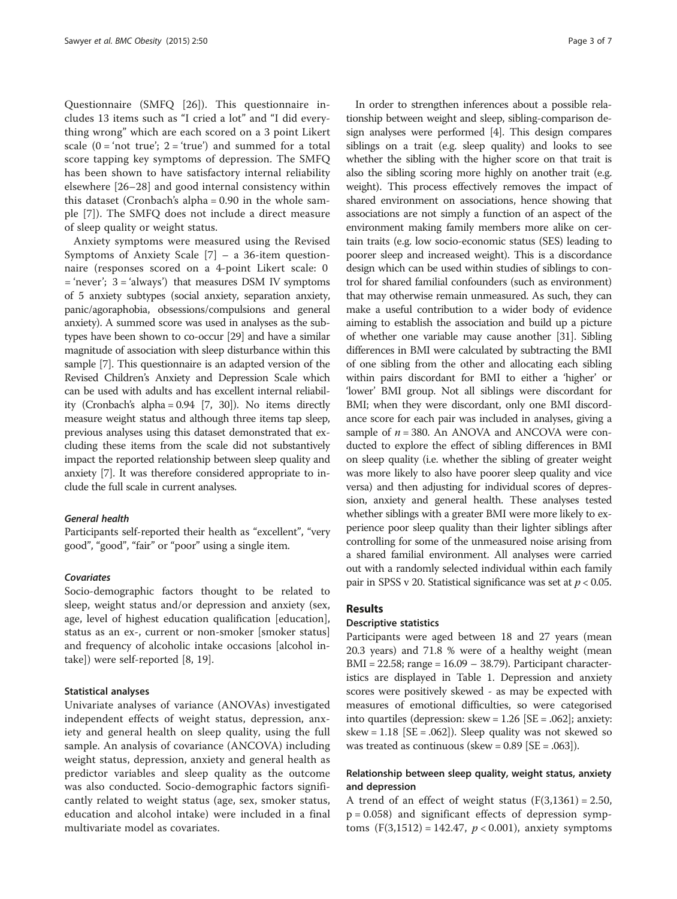Questionnaire (SMFQ [[26\]](#page-6-0)). This questionnaire includes 13 items such as "I cried a lot" and "I did everything wrong" which are each scored on a 3 point Likert scale  $(0 = 'not true'; 2 = 'true')$  and summed for a total score tapping key symptoms of depression. The SMFQ has been shown to have satisfactory internal reliability elsewhere [[26](#page-6-0)–[28\]](#page-6-0) and good internal consistency within this dataset (Cronbach's alpha = 0.90 in the whole sample [\[7](#page-5-0)]). The SMFQ does not include a direct measure of sleep quality or weight status.

Anxiety symptoms were measured using the Revised Symptoms of Anxiety Scale [[7\]](#page-5-0) – a 36-item questionnaire (responses scored on a 4-point Likert scale: 0  $=$  'never';  $3 =$  'always') that measures DSM IV symptoms of 5 anxiety subtypes (social anxiety, separation anxiety, panic/agoraphobia, obsessions/compulsions and general anxiety). A summed score was used in analyses as the subtypes have been shown to co-occur [[29](#page-6-0)] and have a similar magnitude of association with sleep disturbance within this sample [\[7](#page-5-0)]. This questionnaire is an adapted version of the Revised Children's Anxiety and Depression Scale which can be used with adults and has excellent internal reliability (Cronbach's alpha = 0.94 [\[7,](#page-5-0) [30](#page-6-0)]). No items directly measure weight status and although three items tap sleep, previous analyses using this dataset demonstrated that excluding these items from the scale did not substantively impact the reported relationship between sleep quality and anxiety [\[7](#page-5-0)]. It was therefore considered appropriate to include the full scale in current analyses.

#### General health

Participants self-reported their health as "excellent", "very good", "good", "fair" or "poor" using a single item.

#### Covariates

Socio-demographic factors thought to be related to sleep, weight status and/or depression and anxiety (sex, age, level of highest education qualification [education], status as an ex-, current or non-smoker [smoker status] and frequency of alcoholic intake occasions [alcohol intake]) were self-reported [\[8](#page-5-0), [19](#page-5-0)].

#### Statistical analyses

Univariate analyses of variance (ANOVAs) investigated independent effects of weight status, depression, anxiety and general health on sleep quality, using the full sample. An analysis of covariance (ANCOVA) including weight status, depression, anxiety and general health as predictor variables and sleep quality as the outcome was also conducted. Socio-demographic factors significantly related to weight status (age, sex, smoker status, education and alcohol intake) were included in a final multivariate model as covariates.

In order to strengthen inferences about a possible relationship between weight and sleep, sibling-comparison design analyses were performed [\[4\]](#page-5-0). This design compares siblings on a trait (e.g. sleep quality) and looks to see whether the sibling with the higher score on that trait is also the sibling scoring more highly on another trait (e.g. weight). This process effectively removes the impact of shared environment on associations, hence showing that associations are not simply a function of an aspect of the environment making family members more alike on certain traits (e.g. low socio-economic status (SES) leading to poorer sleep and increased weight). This is a discordance design which can be used within studies of siblings to control for shared familial confounders (such as environment) that may otherwise remain unmeasured. As such, they can make a useful contribution to a wider body of evidence aiming to establish the association and build up a picture of whether one variable may cause another [[31\]](#page-6-0). Sibling differences in BMI were calculated by subtracting the BMI of one sibling from the other and allocating each sibling within pairs discordant for BMI to either a 'higher' or 'lower' BMI group. Not all siblings were discordant for BMI; when they were discordant, only one BMI discordance score for each pair was included in analyses, giving a sample of  $n = 380$ . An ANOVA and ANCOVA were conducted to explore the effect of sibling differences in BMI on sleep quality (i.e. whether the sibling of greater weight was more likely to also have poorer sleep quality and vice versa) and then adjusting for individual scores of depression, anxiety and general health. These analyses tested whether siblings with a greater BMI were more likely to experience poor sleep quality than their lighter siblings after controlling for some of the unmeasured noise arising from a shared familial environment. All analyses were carried out with a randomly selected individual within each family pair in SPSS v 20. Statistical significance was set at  $p < 0.05$ .

#### Results

#### Descriptive statistics

Participants were aged between 18 and 27 years (mean 20.3 years) and 71.8 % were of a healthy weight (mean BMI = 22.58; range = 16.09 – 38.79). Participant characteristics are displayed in Table [1](#page-3-0). Depression and anxiety scores were positively skewed - as may be expected with measures of emotional difficulties, so were categorised into quartiles (depression: skew = 1.26 [SE = .062]; anxiety: skew =  $1.18$  [SE = .062]). Sleep quality was not skewed so was treated as continuous (skew =  $0.89$  [SE =  $.063$ ]).

# Relationship between sleep quality, weight status, anxiety and depression

A trend of an effect of weight status  $(F(3,1361) = 2.50,$ p = 0.058) and significant effects of depression symptoms  $(F(3,1512) = 142.47, p < 0.001)$ , anxiety symptoms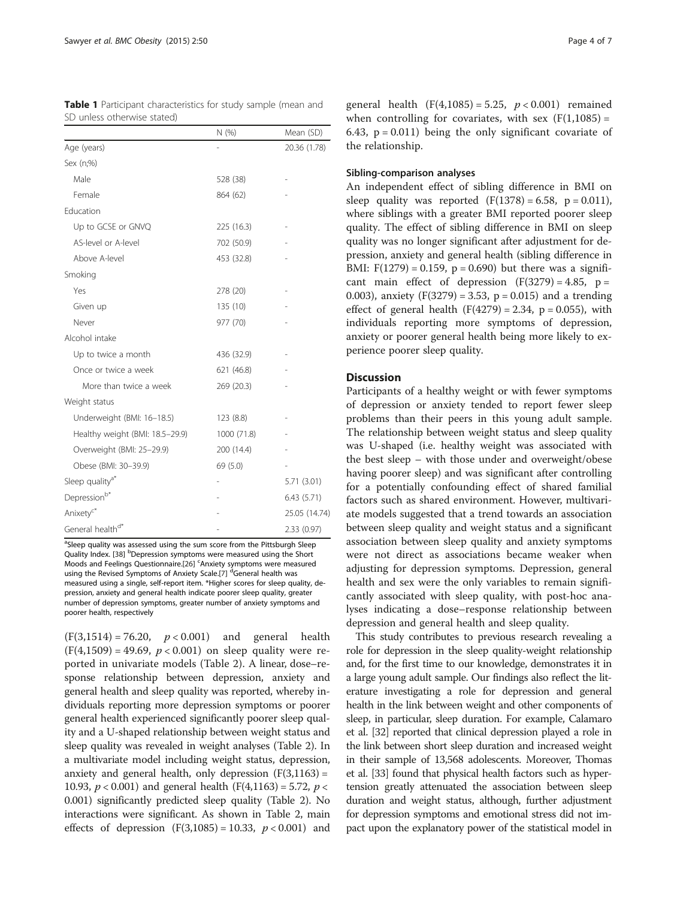| SD unless otherwise stated)     |             |               |  |  |  |
|---------------------------------|-------------|---------------|--|--|--|
|                                 | N(%)        | Mean (SD)     |  |  |  |
| Age (years)                     |             | 20.36 (1.78)  |  |  |  |
| Sex (n;%)                       |             |               |  |  |  |
| Male                            | 528 (38)    |               |  |  |  |
| Female                          | 864 (62)    |               |  |  |  |
| Education                       |             |               |  |  |  |
| Up to GCSE or GNVQ              | 225 (16.3)  |               |  |  |  |
| AS-level or A-level             | 702 (50.9)  |               |  |  |  |
| Above A-level                   | 453 (32.8)  |               |  |  |  |
| Smoking                         |             |               |  |  |  |
| Yes                             | 278 (20)    |               |  |  |  |
| Given up                        | 135 (10)    |               |  |  |  |
| Never                           | 977 (70)    |               |  |  |  |
| Alcohol intake                  |             |               |  |  |  |
| Up to twice a month             | 436 (32.9)  |               |  |  |  |
| Once or twice a week            | 621 (46.8)  |               |  |  |  |
| More than twice a week          | 269 (20.3)  |               |  |  |  |
| Weight status                   |             |               |  |  |  |
| Underweight (BMI: 16-18.5)      | 123 (8.8)   |               |  |  |  |
| Healthy weight (BMI: 18.5-29.9) | 1000 (71.8) |               |  |  |  |
| Overweight (BMI: 25-29.9)       | 200 (14.4)  |               |  |  |  |
| Obese (BMI: 30-39.9)            | 69 (5.0)    |               |  |  |  |
| Sleep quality <sup>a*</sup>     |             | 5.71(3.01)    |  |  |  |
| Depression <sup>b*</sup>        |             | 6.43 (5.71)   |  |  |  |
| Anixety <sup>c*</sup>           |             | 25.05 (14.74) |  |  |  |
| General health <sup>d*</sup>    |             | 2.33 (0.97)   |  |  |  |

<span id="page-3-0"></span>Table 1 Participant characteristics for study sample (mean and

<sup>a</sup>Sleep quality was assessed using the sum score from the Pittsburgh Sleep Quality Index. [\[38](#page-6-0)] <sup>b</sup>Depression symptoms were measured using the Short Moods and Feelings Questionnaire.[[26\]](#page-6-0) <sup>c</sup>Anxiety symptoms were measured using the Revised Symptoms of Anxiety Scale.[[7](#page-5-0)] <sup>d</sup>General health was measured using a single, self-report item. \*Higher scores for sleep quality, depression, anxiety and general health indicate poorer sleep quality, greater number of depression symptoms, greater number of anxiety symptoms and poorer health, respectively

 $(F(3,1514) = 76.20, p < 0.001)$  and general health  $(F(4,1509) = 49.69, p < 0.001)$  on sleep quality were reported in univariate models (Table [2](#page-4-0)). A linear, dose–response relationship between depression, anxiety and general health and sleep quality was reported, whereby individuals reporting more depression symptoms or poorer general health experienced significantly poorer sleep quality and a U-shaped relationship between weight status and sleep quality was revealed in weight analyses (Table [2\)](#page-4-0). In a multivariate model including weight status, depression, anxiety and general health, only depression  $(F(3,1163) =$ 10.93,  $p < 0.001$ ) and general health (F(4,1163) = 5.72,  $p <$ 0.001) significantly predicted sleep quality (Table [2\)](#page-4-0). No interactions were significant. As shown in Table [2](#page-4-0), main effects of depression  $(F(3,1085) = 10.33, p < 0.001)$  and

general health  $(F(4,1085) = 5.25, p < 0.001)$  remained when controlling for covariates, with sex  $(F(1,1085) =$ 6.43,  $p = 0.011$ ) being the only significant covariate of the relationship.

#### Sibling-comparison analyses

An independent effect of sibling difference in BMI on sleep quality was reported  $(F(1378) = 6.58, p = 0.011)$ , where siblings with a greater BMI reported poorer sleep quality. The effect of sibling difference in BMI on sleep quality was no longer significant after adjustment for depression, anxiety and general health (sibling difference in BMI:  $F(1279) = 0.159$ ,  $p = 0.690$ ) but there was a significant main effect of depression  $(F(3279) = 4.85, p =$ 0.003), anxiety  $(F(3279) = 3.53, p = 0.015)$  and a trending effect of general health  $(F(4279) = 2.34, p = 0.055)$ , with individuals reporting more symptoms of depression, anxiety or poorer general health being more likely to experience poorer sleep quality.

### **Discussion**

Participants of a healthy weight or with fewer symptoms of depression or anxiety tended to report fewer sleep problems than their peers in this young adult sample. The relationship between weight status and sleep quality was U-shaped (i.e. healthy weight was associated with the best sleep – with those under and overweight/obese having poorer sleep) and was significant after controlling for a potentially confounding effect of shared familial factors such as shared environment. However, multivariate models suggested that a trend towards an association between sleep quality and weight status and a significant association between sleep quality and anxiety symptoms were not direct as associations became weaker when adjusting for depression symptoms. Depression, general health and sex were the only variables to remain significantly associated with sleep quality, with post-hoc analyses indicating a dose–response relationship between depression and general health and sleep quality.

This study contributes to previous research revealing a role for depression in the sleep quality-weight relationship and, for the first time to our knowledge, demonstrates it in a large young adult sample. Our findings also reflect the literature investigating a role for depression and general health in the link between weight and other components of sleep, in particular, sleep duration. For example, Calamaro et al. [\[32](#page-6-0)] reported that clinical depression played a role in the link between short sleep duration and increased weight in their sample of 13,568 adolescents. Moreover, Thomas et al. [[33](#page-6-0)] found that physical health factors such as hypertension greatly attenuated the association between sleep duration and weight status, although, further adjustment for depression symptoms and emotional stress did not impact upon the explanatory power of the statistical model in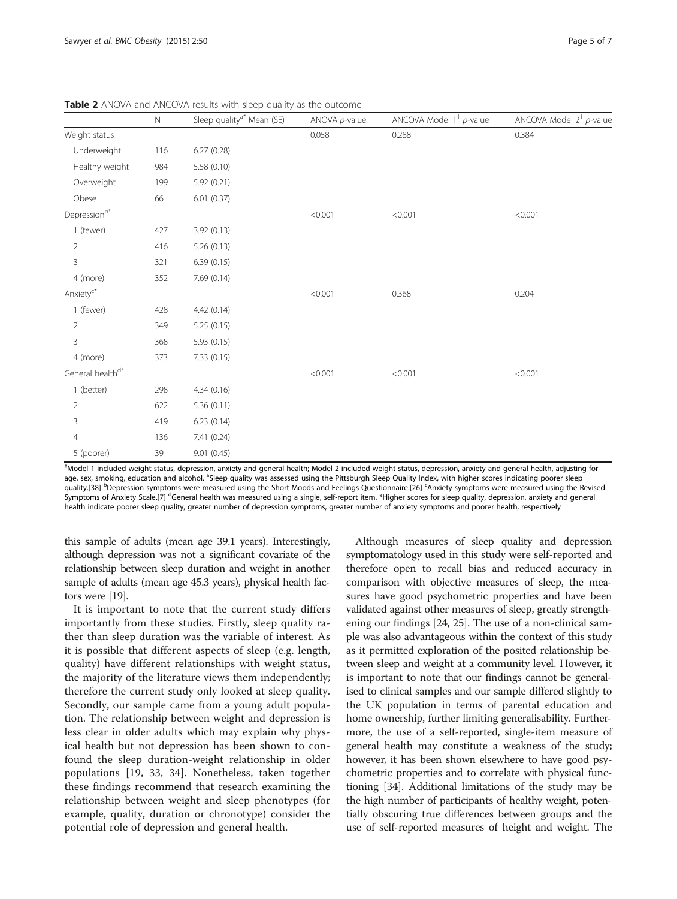|                              | $\mathbb N$ | Sleep quality <sup>a*</sup> Mean (SE) | ANOVA p-value | ANCOVA Model $1^{\dagger}$ p-value | ANCOVA Model $2^{\dagger}$ p-value |
|------------------------------|-------------|---------------------------------------|---------------|------------------------------------|------------------------------------|
| Weight status                |             |                                       | 0.058         | 0.288                              | 0.384                              |
| Underweight                  | 116         | 6.27(0.28)                            |               |                                    |                                    |
| Healthy weight               | 984         | 5.58 (0.10)                           |               |                                    |                                    |
| Overweight                   | 199         | 5.92 (0.21)                           |               |                                    |                                    |
| Obese                        | 66          | 6.01(0.37)                            |               |                                    |                                    |
| Depression <sup>b*</sup>     |             |                                       | < 0.001       | < 0.001                            | < 0.001                            |
| 1 (fewer)                    | 427         | 3.92 (0.13)                           |               |                                    |                                    |
| 2                            | 416         | 5.26 (0.13)                           |               |                                    |                                    |
| $\mathbf{3}$                 | 321         | 6.39(0.15)                            |               |                                    |                                    |
| 4 (more)                     | 352         | 7.69 (0.14)                           |               |                                    |                                    |
| Anxiety <sup>c*</sup>        |             |                                       | < 0.001       | 0.368                              | 0.204                              |
| 1 (fewer)                    | 428         | 4.42 (0.14)                           |               |                                    |                                    |
| 2                            | 349         | 5.25(0.15)                            |               |                                    |                                    |
| $\mathbf{3}$                 | 368         | 5.93 (0.15)                           |               |                                    |                                    |
| 4 (more)                     | 373         | 7.33(0.15)                            |               |                                    |                                    |
| General health <sup>d*</sup> |             |                                       | < 0.001       | < 0.001                            | < 0.001                            |
| 1 (better)                   | 298         | 4.34 (0.16)                           |               |                                    |                                    |
| $\overline{2}$               | 622         | 5.36(0.11)                            |               |                                    |                                    |
| $\mathbf{3}$                 | 419         | 6.23(0.14)                            |               |                                    |                                    |
| $\overline{4}$               | 136         | 7.41 (0.24)                           |               |                                    |                                    |
| 5 (poorer)                   | 39          | 9.01 (0.45)                           |               |                                    |                                    |

<span id="page-4-0"></span>**Table 2** ANOVA and ANCOVA results with sleep quality as the outcome

† Model 1 included weight status, depression, anxiety and general health; Model 2 included weight status, depression, anxiety and general health, adjusting for age, sex, smoking, education and alcohol. <sup>a</sup>Sleep quality was assessed using the Pittsburgh Sleep Quality Index, with higher scores indicating poorer sleep quality.[[38](#page-6-0)] <sup>b</sup>Depression symptoms were measured using the Short Moods and Feelings Questionnaire.[\[26\]](#page-6-0) <sup>c</sup>Anxiety symptoms were measured using the Revised Symptoms of Anxiety Scale.[\[7\]](#page-5-0) <sup>d</sup>General health was measured using a single, self-report item. \*Higher scores for sleep quality, depression, anxiety and general health indicate poorer sleep quality, greater number of depression symptoms, greater number of anxiety symptoms and poorer health, respectively

this sample of adults (mean age 39.1 years). Interestingly, although depression was not a significant covariate of the relationship between sleep duration and weight in another sample of adults (mean age 45.3 years), physical health factors were [[19\]](#page-5-0).

It is important to note that the current study differs importantly from these studies. Firstly, sleep quality rather than sleep duration was the variable of interest. As it is possible that different aspects of sleep (e.g. length, quality) have different relationships with weight status, the majority of the literature views them independently; therefore the current study only looked at sleep quality. Secondly, our sample came from a young adult population. The relationship between weight and depression is less clear in older adults which may explain why physical health but not depression has been shown to confound the sleep duration-weight relationship in older populations [[19,](#page-5-0) [33](#page-6-0), [34\]](#page-6-0). Nonetheless, taken together these findings recommend that research examining the relationship between weight and sleep phenotypes (for example, quality, duration or chronotype) consider the potential role of depression and general health.

Although measures of sleep quality and depression symptomatology used in this study were self-reported and therefore open to recall bias and reduced accuracy in comparison with objective measures of sleep, the measures have good psychometric properties and have been validated against other measures of sleep, greatly strengthening our findings [\[24, 25](#page-6-0)]. The use of a non-clinical sample was also advantageous within the context of this study as it permitted exploration of the posited relationship between sleep and weight at a community level. However, it is important to note that our findings cannot be generalised to clinical samples and our sample differed slightly to the UK population in terms of parental education and home ownership, further limiting generalisability. Furthermore, the use of a self-reported, single-item measure of general health may constitute a weakness of the study; however, it has been shown elsewhere to have good psychometric properties and to correlate with physical functioning [\[34](#page-6-0)]. Additional limitations of the study may be the high number of participants of healthy weight, potentially obscuring true differences between groups and the use of self-reported measures of height and weight. The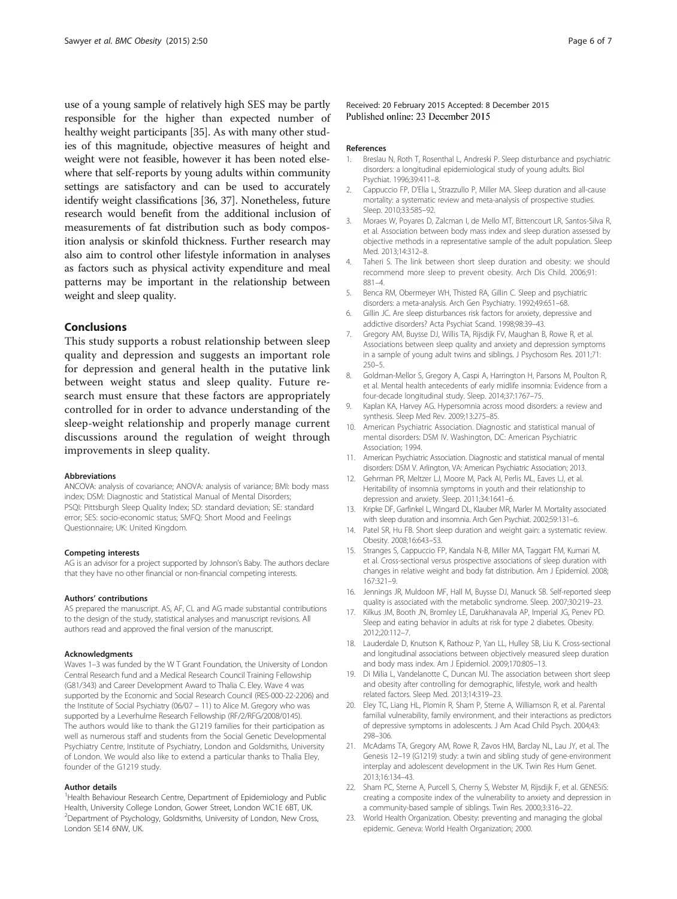<span id="page-5-0"></span>use of a young sample of relatively high SES may be partly responsible for the higher than expected number of healthy weight participants [\[35\]](#page-6-0). As with many other studies of this magnitude, objective measures of height and weight were not feasible, however it has been noted elsewhere that self-reports by young adults within community settings are satisfactory and can be used to accurately identify weight classifications [[36](#page-6-0), [37](#page-6-0)]. Nonetheless, future research would benefit from the additional inclusion of measurements of fat distribution such as body composition analysis or skinfold thickness. Further research may also aim to control other lifestyle information in analyses as factors such as physical activity expenditure and meal patterns may be important in the relationship between weight and sleep quality.

# Conclusions

This study supports a robust relationship between sleep quality and depression and suggests an important role for depression and general health in the putative link between weight status and sleep quality. Future research must ensure that these factors are appropriately controlled for in order to advance understanding of the sleep-weight relationship and properly manage current discussions around the regulation of weight through improvements in sleep quality.

#### Abbreviations

ANCOVA: analysis of covariance; ANOVA: analysis of variance; BMI: body mass index; DSM: Diagnostic and Statistical Manual of Mental Disorders; PSQI: Pittsburgh Sleep Quality Index; SD: standard deviation; SE: standard error; SES: socio-economic status; SMFQ: Short Mood and Feelings Questionnaire; UK: United Kingdom.

#### Competing interests

AG is an advisor for a project supported by Johnson's Baby. The authors declare that they have no other financial or non-financial competing interests.

#### Authors' contributions

AS prepared the manuscript. AS, AF, CL and AG made substantial contributions to the design of the study, statistical analyses and manuscript revisions. All authors read and approved the final version of the manuscript.

#### Acknowledgments

Waves 1–3 was funded by the W T Grant Foundation, the University of London Central Research fund and a Medical Research Council Training Fellowship (G81/343) and Career Development Award to Thalia C. Eley. Wave 4 was supported by the Economic and Social Research Council (RES-000-22-2206) and the Institute of Social Psychiatry (06/07 – 11) to Alice M. Gregory who was supported by a Leverhulme Research Fellowship (RF/2/RFG/2008/0145). The authors would like to thank the G1219 families for their participation as well as numerous staff and students from the Social Genetic Developmental Psychiatry Centre, Institute of Psychiatry, London and Goldsmiths, University of London. We would also like to extend a particular thanks to Thalia Eley, founder of the G1219 study.

#### Author details

<sup>1</sup> Health Behaviour Research Centre, Department of Epidemiology and Public Health, University College London, Gower Street, London WC1E 6BT, UK. 2 Department of Psychology, Goldsmiths, University of London, New Cross, London SE14 6NW, UK.

#### Received: 20 February 2015 Accepted: 8 December 2015 Published online: 23 December 2015

#### References

- 1. Breslau N, Roth T, Rosenthal L, Andreski P. Sleep disturbance and psychiatric disorders: a longitudinal epidemiological study of young adults. Biol Psychiat. 1996;39:411–8.
- 2. Cappuccio FP, D'Elia L, Strazzullo P, Miller MA. Sleep duration and all-cause mortality: a systematic review and meta-analysis of prospective studies. Sleep. 2010;33:585–92.
- 3. Moraes W, Poyares D, Zalcman I, de Mello MT, Bittencourt LR, Santos-Silva R, et al. Association between body mass index and sleep duration assessed by objective methods in a representative sample of the adult population. Sleep Med. 2013;14:312–8.
- 4. Taheri S. The link between short sleep duration and obesity: we should recommend more sleep to prevent obesity. Arch Dis Child. 2006;91: 881–4.
- 5. Benca RM, Obermeyer WH, Thisted RA, Gillin C. Sleep and psychiatric disorders: a meta-analysis. Arch Gen Psychiatry. 1992;49:651–68.
- 6. Gillin JC. Are sleep disturbances risk factors for anxiety, depressive and addictive disorders? Acta Psychiat Scand. 1998;98:39–43.
- 7. Gregory AM, Buysse DJ, Willis TA, Rijsdijk FV, Maughan B, Rowe R, et al. Associations between sleep quality and anxiety and depression symptoms in a sample of young adult twins and siblings. J Psychosom Res. 2011;71: 250–5.
- 8. Goldman-Mellor S, Gregory A, Caspi A, Harrington H, Parsons M, Poulton R, et al. Mental health antecedents of early midlife insomnia: Evidence from a four-decade longitudinal study. Sleep. 2014;37:1767–75.
- 9. Kaplan KA, Harvey AG. Hypersomnia across mood disorders: a review and synthesis. Sleep Med Rev. 2009;13:275–85.
- 10. American Psychiatric Association. Diagnostic and statistical manual of mental disorders: DSM IV. Washington, DC: American Psychiatric Association; 1994.
- 11. American Psychiatric Association. Diagnostic and statistical manual of mental disorders: DSM V. Arlington, VA: American Psychiatric Association; 2013.
- 12. Gehrman PR, Meltzer LJ, Moore M, Pack AI, Perlis ML, Eaves LJ, et al. Heritability of insomnia symptoms in youth and their relationship to depression and anxiety. Sleep. 2011;34:1641–6.
- 13. Kripke DF, Garfinkel L, Wingard DL, Klauber MR, Marler M. Mortality associated with sleep duration and insomnia. Arch Gen Psychiat. 2002;59:131–6.
- 14. Patel SR, Hu FB. Short sleep duration and weight gain: a systematic review. Obesity. 2008;16:643–53.
- 15. Stranges S, Cappuccio FP, Kandala N-B, Miller MA, Taggart FM, Kumari M, et al. Cross-sectional versus prospective associations of sleep duration with changes in relative weight and body fat distribution. Am J Epidemiol. 2008; 167:321–9.
- 16. Jennings JR, Muldoon MF, Hall M, Buysse DJ, Manuck SB. Self-reported sleep quality is associated with the metabolic syndrome. Sleep. 2007;30:219–23.
- 17. Kilkus JM, Booth JN, Bromley LE, Darukhanavala AP, Imperial JG, Penev PD. Sleep and eating behavior in adults at risk for type 2 diabetes. Obesity. 2012;20:112–7.
- 18. Lauderdale D, Knutson K, Rathouz P, Yan LL, Hulley SB, Liu K. Cross-sectional and longitudinal associations between objectively measured sleep duration and body mass index. Am J Epidemiol. 2009;170:805–13.
- 19. Di Milia L, Vandelanotte C, Duncan MJ. The association between short sleep and obesity after controlling for demographic, lifestyle, work and health related factors. Sleep Med. 2013;14:319–23.
- 20. Eley TC, Liang HL, Plomin R, Sham P, Sterne A, Williamson R, et al. Parental familial vulnerability, family environment, and their interactions as predictors of depressive symptoms in adolescents. J Am Acad Child Psych. 2004;43: 298–306.
- 21. McAdams TA, Gregory AM, Rowe R, Zavos HM, Barclay NL, Lau JY, et al. The Genesis 12–19 (G1219) study: a twin and sibling study of gene-environment interplay and adolescent development in the UK. Twin Res Hum Genet. 2013;16:134–43.
- 22. Sham PC, Sterne A, Purcell S, Cherny S, Webster M, Rijsdijk F, et al. GENESiS: creating a composite index of the vulnerability to anxiety and depression in a community-based sample of siblings. Twin Res. 2000;3:316–22.
- 23. World Health Organization. Obesity: preventing and managing the global epidemic. Geneva: World Health Organization; 2000.